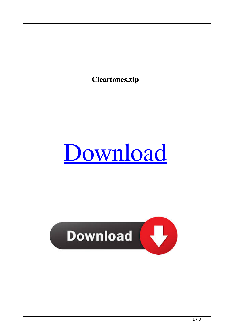**Cleartones.zip**



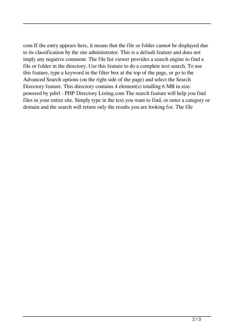com If the entry appears here, it means that the file or folder cannot be displayed due to its classification by the site administrator. This is a default feature and does not imply any negative comment. The file list viewer provides a search engine to find a file or folder in the directory. Use this feature to do a complete text search. To use this feature, type a keyword in the filter box at the top of the page, or go to the Advanced Search options (on the right side of the page) and select the Search Directory feature. This directory contains 4 element(s) totalling 6 MB in size. powered by pdirl - PHP Directory Listing.com The search feature will help you find files in your entire site. Simply type in the text you want to find, or enter a category or domain and the search will return only the results you are looking for. The file